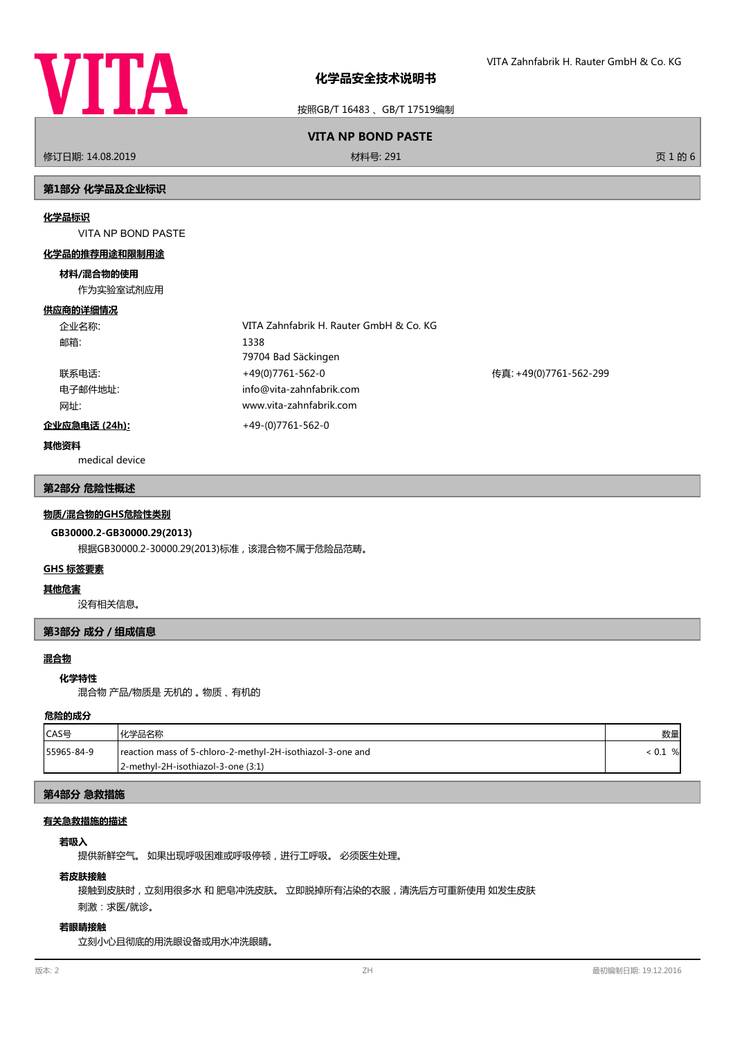

按照GB/T 16483 、GB/T 17519编制

**化学品安全技术说明书**

# **VITA NP BOND PASTE**

修订日期: 14.08.2019 材料号: 291 页 1 的 6

# **第1部分 化学品及企业标识**

#### **化学品标识**

VITA NP BOND PASTE

#### **化学品的推荐用途和限制用途**

#### **材料/混合物的使用**

作为实验室试剂应用

#### **供应商的详细情况**

| 企业名称:                 | VITA Zahnfabrik H. Rauter GmbH & Co. KG |                        |
|-----------------------|-----------------------------------------|------------------------|
| 邮箱:                   | 1338                                    |                        |
|                       | 79704 Bad Säckingen                     |                        |
| 联系电话:                 | +49(0)7761-562-0                        | 传真: +49(0)7761-562-299 |
| 电子邮件地址:               | info@vita-zahnfabrik.com                |                        |
| 网址:                   | www.vita-zahnfabrik.com                 |                        |
| <u> 企业应急电话 (24h):</u> | +49-(0)7761-562-0                       |                        |

## **其他资料**

medical device

#### **第2部分 危险性概述**

#### **物质/混合物的GHS危险性类别**

## **GB30000.2-GB30000.29(2013)**

根据GB30000.2-30000.29(2013)标准,该混合物不属于危险品范畴。

#### **GHS 标签要素**

#### **其他危害**

没有相关信息。

## **第3部分 成分/组成信息**

#### **混合物**

## **化学特性**

混合物 产品/物质是 无机的 。 物质 、 有机的

#### **危险的成分**

| ICAS号      | 化学品名称                                                      | 数量         |
|------------|------------------------------------------------------------|------------|
| 55965-84-9 | reaction mass of 5-chloro-2-methyl-2H-isothiazol-3-one and | %<br>1 ∪.⊥ |
|            | 2-methyl-2H-isothiazol-3-one (3:1)                         |            |

# **第4部分 急救措施**

#### **有关急救措施的描述**

## **若吸入**

提供新鲜空气。 如果出现呼吸困难或呼吸停顿,进行工呼吸。 必须医生处理。

#### **若皮肤接触**

接触到皮肤时,立刻用很多水 和 肥皂冲洗皮肤。 立即脱掉所有沾染的衣服,清洗后方可重新使用 如发生皮肤 刺激:求医/就诊。

#### **若眼睛接触**

立刻小心且彻底的用洗眼设备或用水冲洗眼睛。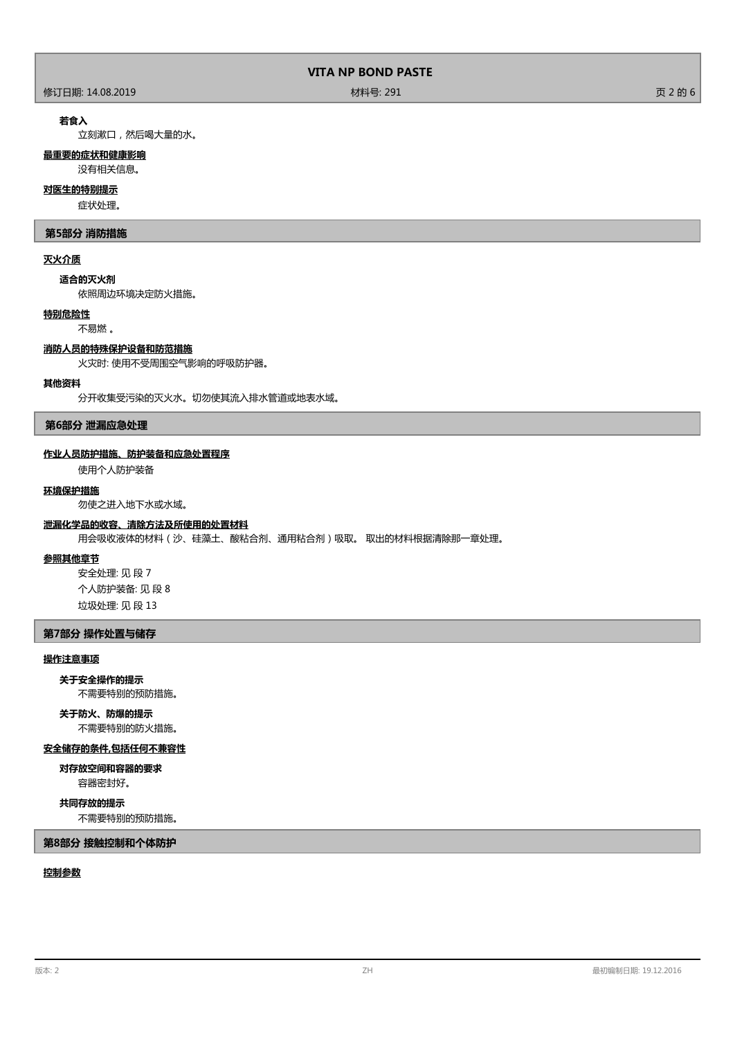#### 修订日期: 14.08.2019 材料号: 291 页 2 的 6

## **若食入**

立刻漱口,然后喝大量的水。

## **最重要的症状和健康影响**

没有相关信息。

# **对医生的特别提示**

症状处理。

#### **第5部分 消防措施**

#### **灭火介质**

**适合的灭火剂**

依照周边环境决定防火措施。

# **特别危险性**

不易燃 。

### **消防人员的特殊保护设备和防范措施**

火灾时: 使用不受周围空气影响的呼吸防护器。

## **其他资料**

分开收集受污染的灭火水。切勿使其流入排水管道或地表水域。

#### **第6部分 泄漏应急处理**

#### **作业人员防护措施、防护装备和应急处置程序**

使用个人防护装备

#### **环境保护措施**

勿使之进入地下水或水域。

# **泄漏化学品的收容、清除方法及所使用的处置材料**

用会吸收液体的材料(沙、硅藻土、酸粘合剂、通用粘合剂)吸取。 取出的材料根据清除那一章处理。

## **参照其他章节**

安全处理: 见 段 7 个人防护装备: 见 段 8 垃圾处理: 见 段 13

## **第7部分 操作处置与储存**

#### **操作注意事项**

**关于安全操作的提示**

不需要特别的预防措施。

# **关于防火、防爆的提示**

不需要特别的防火措施。

**安全储存的条件,包括任何不兼容性**

容器密封好。 **对存放空间和容器的要求**

## **共同存放的提示**

不需要特别的预防措施。

**第8部分 接触控制和个体防护**

# **控制参数**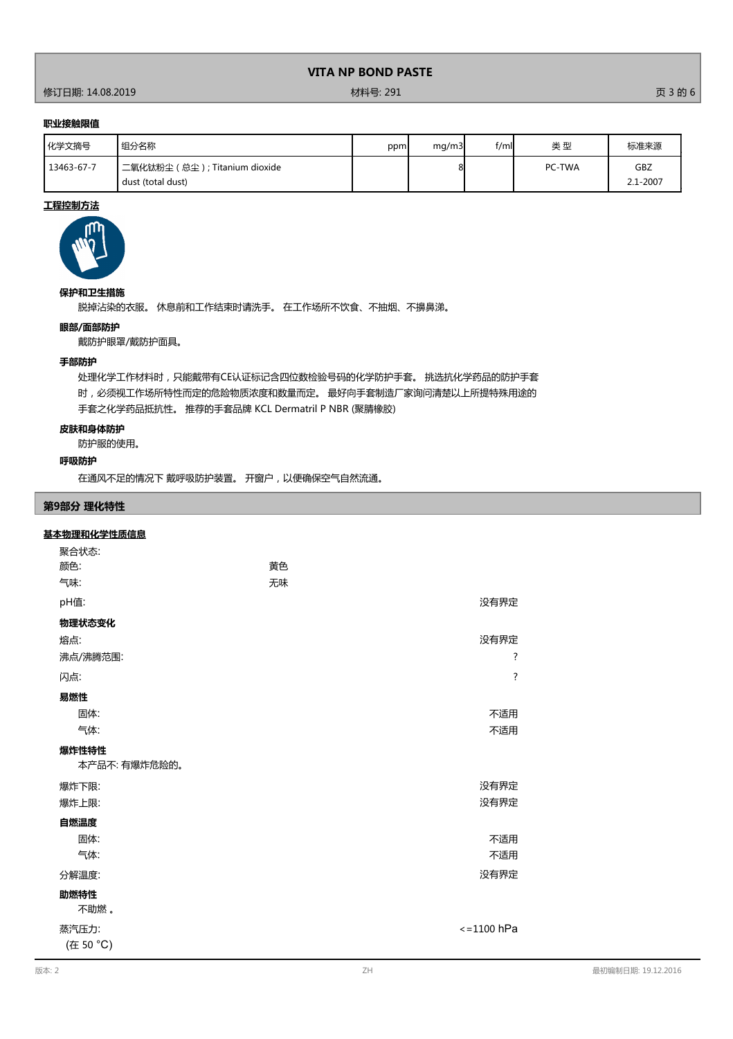# **VITA NP BOND PASTE**

修订日期: 14.08.2019 材料号: 291 页 3 的 6

#### **职业接触限值**

| 化学文摘号      | 组分名称                                                  | ppm | mq/m3 | $f$ /mll | 类型     | 标准来源                   |
|------------|-------------------------------------------------------|-----|-------|----------|--------|------------------------|
| 13463-67-7 | 二氧化钛粉尘 ( 总尘 ) ; Titanium dioxide<br>dust (total dust) |     |       |          | PC-TWA | <b>GBZ</b><br>2.1-2007 |

# **工程控制方法**



# **保护和卫生措施**

脱掉沾染的衣服。 休息前和工作结束时请洗手。 在工作场所不饮食、不抽烟、不擤鼻涕。

#### **眼部/面部防护**

戴防护眼罩/戴防护面具。

## **手部防护**

处理化学工作材料时,只能戴带有CE认证标记含四位数检验号码的化学防护手套。 挑选抗化学药品的防护手套 时,必须视工作场所特性而定的危险物质浓度和数量而定。 最好向手套制造厂家询问清楚以上所提特殊用途的 手套之化学药品抵抗性。 推荐的手套品牌 KCL Dermatril P NBR (聚腈橡胶)

## **皮肤和身体防护**

防护服的使用。

### **呼吸防护**

在通风不足的情况下 戴呼吸防护装置。 开窗户,以便确保空气自然流通。

## **第9部分 理化特性**

## **基本物理和化学性质信息**

| 聚合状态:         |    |                      |
|---------------|----|----------------------|
| 颜色:           | 黄色 |                      |
| 气味:           | 无味 |                      |
| pH值:          |    | 没有界定                 |
| 物理状态变化        |    |                      |
| 熔点:           |    | 没有界定                 |
| 沸点/沸腾范围:      |    | ?                    |
| 闪点:           |    | $\overline{\cdot}$   |
| 易燃性           |    |                      |
| 固体:           |    | 不适用                  |
| 气体:           |    | 不适用                  |
| 爆炸性特性         |    |                      |
| 本产品不: 有爆炸危险的。 |    |                      |
| 爆炸下限:         |    | 没有界定                 |
| 爆炸上限:         |    | 没有界定                 |
| 自燃温度          |    |                      |
| 固体:           |    | 不适用                  |
| 气体:           |    | 不适用                  |
| 分解温度:         |    | 没有界定                 |
| 助燃特性          |    |                      |
| 不助燃。          |    |                      |
| 蒸汽压力:         |    | $\epsilon$ =1100 hPa |
| (在 50 °C)     |    |                      |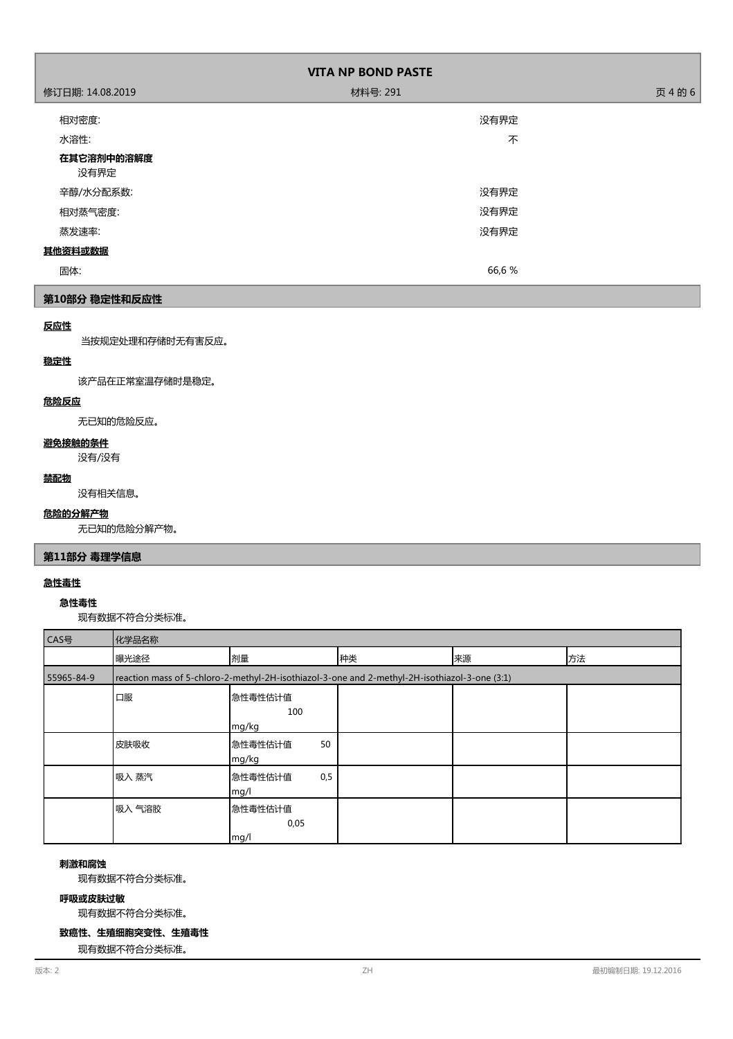| <b>VITA NP BOND PASTE</b> |          |         |  |
|---------------------------|----------|---------|--|
| 修订日期: 14.08.2019          | 材料号: 291 | 页 4 的 6 |  |
| 相对密度:                     | 没有界定     |         |  |
| 水溶性:                      | 不        |         |  |
| 在其它溶剂中的溶解度<br>没有界定        |          |         |  |
| 辛醇/水分配系数:                 | 没有界定     |         |  |
| 相对蒸气密度:                   | 没有界定     |         |  |
| 蒸发速率:                     | 没有界定     |         |  |
| 其他资料或数据                   |          |         |  |
| 固体:                       | 66,6%    |         |  |

# **第10部分 稳定性和反应性**

## **反应性**

当按规定处理和存储时无有害反应。

# **稳定性**

该产品在正常室温存储时是稳定。

# **危险反应**

无已知的危险反应。

# **避免接触的条件**

没有/没有

# 没有相关信息。

**禁配物**

## **危险的分解产物**

无已知的危险分解产物。

## **第11部分 毒理学信息**

# **急性毒性**

# **急性毒性**

现有数据不符合分类标准。

| CAS号       | 化学品名称                                                                                         |                                   |    |    |    |
|------------|-----------------------------------------------------------------------------------------------|-----------------------------------|----|----|----|
|            | 曝光途径                                                                                          | 剂量                                | 种类 | 来源 | 方法 |
| 55965-84-9 | reaction mass of 5-chloro-2-methyl-2H-isothiazol-3-one and 2-methyl-2H-isothiazol-3-one (3:1) |                                   |    |    |    |
|            | 口服                                                                                            | 急性毒性估计值<br>100<br>mg/kg           |    |    |    |
|            | 皮肤吸收                                                                                          | 急性毒性估计值<br>50<br>mg/kg            |    |    |    |
|            | 吸入 蒸汽                                                                                         | 0, 5<br>急性毒性估计值<br>mg/l           |    |    |    |
|            | 吸入 气溶胶                                                                                        | 急性毒性估计值<br>0,05<br>$\lfloor$ mg/l |    |    |    |

#### **刺激和腐蚀**

现有数据不符合分类标准。

## **呼吸或皮肤过敏**

现有数据不符合分类标准。

## **致癌性、生殖细胞突变性、生殖毒性**

现有数据不符合分类标准。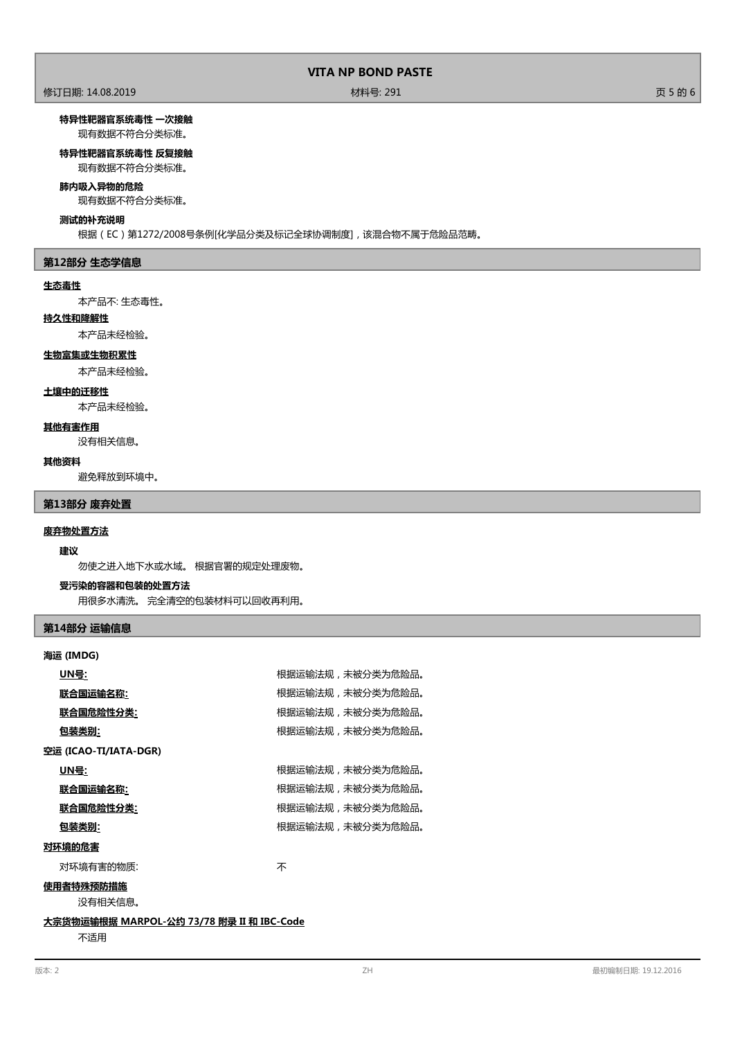修订日期: 14.08.2019 材料号: 291 页 5 的 6

# **特异性靶器官系统毒性 一次接触**

现有数据不符合分类标准。

#### **特异性靶器官系统毒性 反复接触**

现有数据不符合分类标准。

#### **肺内吸入异物的危险**

现有数据不符合分类标准。

#### **测试的补充说明**

根据(EC)第1272/2008号条例[化学品分类及标记全球协调制度],该混合物不属于危险品范畴。

#### **第12部分 生态学信息**

#### **生态毒性**

本产品不: 生态毒性。

# **持久性和降解性**

本产品未经检验。

#### **生物富集或生物积累性**

本产品未经检验。

#### **土壤中的迁移性**

本产品未经检验。

#### **其他有害作用**

没有相关信息。

#### **其他资料**

避免释放到环境中。

## **第13部分 废弃处置**

## **废弃物处置方法**

#### **建议**

勿使之进入地下水或水域。 根据官署的规定处理废物。

## **受污染的容器和包装的处置方法**

用很多水清洗。 完全清空的包装材料可以回收再利用。

# **第14部分 运输信息**

## **海运 (IMDG)**

| <u>UN号:</u>           | 根据运输法规,未被分类为危险品。 |
|-----------------------|------------------|
| 联合国运输名称:              | 根据运输法规,未被分类为危险品。 |
| 联合国危险性分类:             | 根据运输法规,未被分类为危险品。 |
| 包装类别:                 | 根据运输法规,未被分类为危险品。 |
| 空运 (ICAO-TI/IATA-DGR) |                  |
| <u>UN号:</u>           | 根据运输法规,未被分类为危险品。 |
| 联合国运输名称:              | 根据运输法规,未被分类为危险品。 |
| 联合国危险性分类:             | 根据运输法规,未被分类为危险品。 |
| 包装类别:                 | 根据运输法规,未被分类为危险品。 |
| 对环境的危害                |                  |
| 对环境有害的物质:             | 不                |
| 使用者特殊预防措施             |                  |
| 没有相关信息。               |                  |

**大宗货物运输根据 MARPOL-公约 73/78 附录 II 和 IBC-Code**

## 不适用